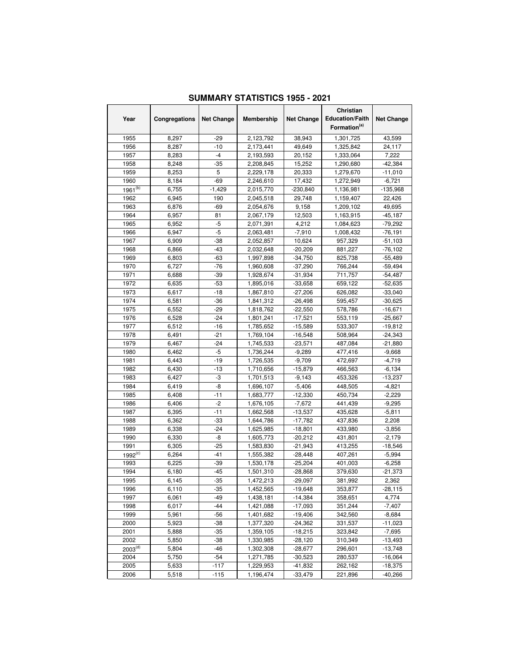| Year         | Congregations | <b>Net Change</b> | <b>Membership</b> | <b>Net Change</b> | Christian<br><b>Education/Faith</b><br>Formation <sup>(a)</sup> | <b>Net Change</b> |
|--------------|---------------|-------------------|-------------------|-------------------|-----------------------------------------------------------------|-------------------|
| 1955         | 8,297         | -29               | 2,123,792         | 38,943            | 1,301,725                                                       | 43,599            |
| 1956         | 8,287         | -10               | 2,173,441         | 49,649            | 1,325,842                                                       | 24,117            |
| 1957         | 8,283         | $-4$              | 2,193,593         | 20,152            | 1,333,064                                                       | 7,222             |
| 1958         | 8,248         | $-35$             | 2,208,845         | 15,252            | 1,290,680                                                       | $-42,384$         |
| 1959         | 8,253         | 5                 | 2,229,178         | 20,333            | 1,279,670                                                       | $-11,010$         |
| 1960         | 8,184         | $-69$             | 2,246,610         | 17,432            | 1,272,949                                                       | $-6,721$          |
| $1961^{(b)}$ | 6,755         | $-1,429$          | 2,015,770         | $-230,840$        | 1,136,981                                                       | $-135,968$        |
| 1962         | 6,945         | 190               | 2,045,518         | 29,748            | 1,159,407                                                       | 22,426            |
| 1963         | 6,876         | -69               | 2,054,676         | 9,158             | 1,209,102                                                       | 49,695            |
| 1964         | 6,957         | 81                | 2,067,179         | 12,503            | 1,163,915                                                       | $-45,187$         |
| 1965         | 6,952         | -5                | 2,071,391         | 4,212             | 1,084,623                                                       | $-79,292$         |
| 1966         | 6,947         | $-5$              | 2,063,481         | $-7,910$          | 1,008,432                                                       | $-76,191$         |
| 1967         | 6,909         | $-38$             | 2,052,857         | 10,624            | 957,329                                                         | $-51,103$         |
| 1968         | 6,866         | -43               | 2,032,648         | $-20,209$         | 881,227                                                         | $-76,102$         |
| 1969         | 6,803         | $-63$             | 1,997,898         | $-34,750$         | 825,738                                                         | $-55,489$         |
| 1970         | 6,727         | $-76$             | 1,960,608         | $-37,290$         | 766,244                                                         | $-59,494$         |
| 1971         | 6,688         | $-39$             | 1,928,674         | $-31,934$         | 711,757                                                         | $-54,487$         |
| 1972         | 6,635         | $-53$             | 1,895,016         | -33,658           | 659,122                                                         | $-52,635$         |
| 1973         | 6,617         | $-18$             | 1,867,810         | $-27,206$         | 626,082                                                         | $-33,040$         |
| 1974         | 6,581         | $-36$             | 1,841,312         | $-26,498$         | 595,457                                                         | $-30,625$         |
| 1975         | 6,552         | $-29$             | 1,818,762         | $-22,550$         | 578,786                                                         | $-16,671$         |
| 1976         | 6,528         | $-24$             | 1,801,241         | $-17,521$         | 553,119                                                         | $-25,667$         |
| 1977         | 6,512         | $-16$             | 1,785,652         | $-15,589$         | 533,307                                                         | $-19,812$         |
| 1978         | 6,491         | $-21$             | 1,769,104         | $-16,548$         | 508,964                                                         | $-24,343$         |
| 1979         | 6,467         | $-24$             | 1,745,533         | $-23,571$         | 487,084                                                         | $-21,880$         |
| 1980         | 6,462         | $-5$              | 1,736,244         | $-9,289$          | 477,416                                                         | $-9,668$          |
| 1981         | 6,443         | -19               | 1,726,535         | $-9,709$          | 472,697                                                         | $-4,719$          |
| 1982         | 6,430         | -13               | 1,710,656         | $-15,879$         | 466,563                                                         | $-6,134$          |
| 1983         | 6,427         | -3                | 1,701,513         | $-9,143$          | 453,326                                                         | $-13,237$         |
| 1984         | 6,419         | -8                | 1,696,107         | $-5,406$          | 448,505                                                         | $-4,821$          |
| 1985         | 6,408         | $-11$             | 1,683,777         | $-12,330$         | 450,734                                                         | $-2,229$          |
| 1986         | 6,406         | $-2$              | 1,676,105         | $-7,672$          | 441,439                                                         | $-9,295$          |
| 1987         | 6,395         | -11               | 1,662,568         | $-13,537$         | 435,628                                                         | $-5,811$          |
| 1988         | 6,362         | -33               | 1,644,786         | $-17,782$         | 437,836                                                         | 2,208             |
| 1989         | 6,338         | $-24$             | 1,625,985         | $-18,801$         | 433,980                                                         | $-3,856$          |
| 1990         | 6,330         | -8                | 1,605,773         | $-20,212$         | 431,801                                                         | $-2,179$          |
| 1991         | 6.305         | $-25$             | 1,583,830         | $-21,943$         | 413,255                                                         | $-18,546$         |
| $1992^{(c)}$ | 6,264         | $-41$             | 1,555,382         | $-28,448$         | 407,261                                                         | $-5,994$          |
| 1993         | 6,225         | -39               | 1,530,178         | $-25,204$         | 401,003                                                         | $-6,258$          |
| 1994         | 6,180         | $-45$             | 1,501,310         | -28,868           | 379,630                                                         | $-21,373$         |
| 1995         | 6,145         | $-35$             | 1,472,213         | $-29,097$         | 381,992                                                         | 2,362             |
| 1996         | 6,110         | -35               | 1,452,565         | -19,648           | 353,877                                                         | $-28,115$         |
| 1997         | 6,061         | -49               | 1,438,181         | $-14,384$         | 358,651                                                         | 4,774             |
| 1998         | 6,017         | $-44$             | 1,421,088         | $-17,093$         | 351,244                                                         | $-7,407$          |
| 1999         | 5,961         | -56               | 1,401,682         | $-19,406$         | 342,560                                                         | $-8,684$          |
| 2000         | 5,923         | -38               | 1,377,320         | $-24,362$         | 331,537                                                         | $-11,023$         |
| 2001         | 5,888         | $-35$             | 1,359,105         | $-18,215$         | 323,842                                                         | $-7,695$          |
| 2002         | 5,850         | -38               | 1,330,985         | $-28,120$         | 310,349                                                         | $-13,493$         |
| $2003^{(d)}$ | 5,804         | -46               | 1,302,308         | $-28,677$         | 296,601                                                         | $-13,748$         |
| 2004         | 5,750         | -54               | 1,271,785         | -30,523           | 280,537                                                         | $-16,064$         |
| 2005         | 5,633         | $-117$            | 1,229,953         | -41,832           | 262,162                                                         | $-18,375$         |
| 2006         | 5,518         | $-115$            | 1,196,474         | $-33,479$         | 221,896                                                         | $-40,266$         |

## **SUMMARY STATISTICS 1955 - 2021**